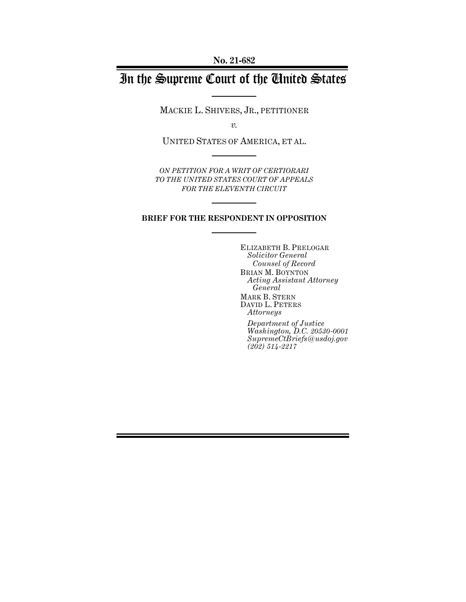# In the Supreme Court of the United States

MACKIE L. SHIVERS, JR., PETITIONER

*v.*

UNITED STATES OF AMERICA, ET AL.

*ON PETITION FOR A WRIT OF CERTIORARI TO THE UNITED STATES COURT OF APPEALS FOR THE ELEVENTH CIRCUIT*

### **BRIEF FOR THE RESPONDENT IN OPPOSITION**

ELIZABETH B. PRELOGAR *Solicitor General Counsel of Record* BRIAN M. BOYNTON *Acting Assistant Attorney General* MARK B. STERN DAVID L. PETERS *Attorneys*

*Department of Justice Washington, D.C. 20530-0001 SupremeCtBriefs@usdoj.gov (202) 514-2217*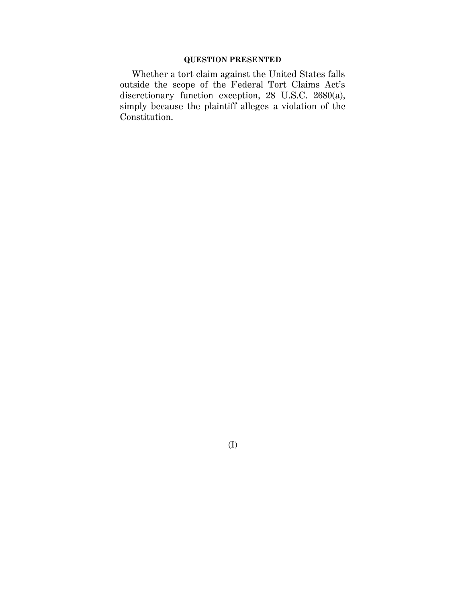## **QUESTION PRESENTED**

Whether a tort claim against the United States falls outside the scope of the Federal Tort Claims Act's discretionary function exception, 28 U.S.C. 2680(a), simply because the plaintiff alleges a violation of the Constitution.

(I)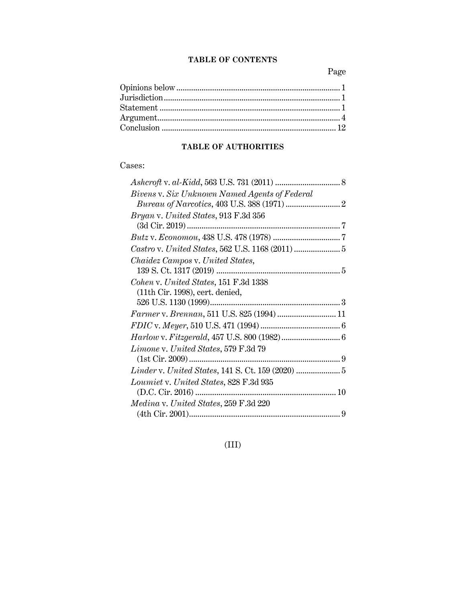## **TABLE OF CONTENTS**

Page

# **TABLE OF AUTHORITIES**

# Cases:

| Bivens v. Six Unknown Named Agents of Federal     |
|---------------------------------------------------|
|                                                   |
| Bryan v. United States, 913 F.3d 356              |
|                                                   |
|                                                   |
| Castro v. United States, 562 U.S. 1168 (2011)  5  |
| Chaidez Campos v. United States,                  |
|                                                   |
| Cohen v. United States, 151 F.3d 1338             |
| $(11th$ Cir. 1998), cert. denied,                 |
|                                                   |
| Farmer v. Brennan, 511 U.S. 825 (1994)  11        |
|                                                   |
|                                                   |
| Limone v. United States, 579 F.3d 79              |
|                                                   |
| Linder v. United States, 141 S. Ct. 159 (2020)  5 |
| Loumiet v. United States, 828 F.3d 935            |
|                                                   |
| Medina v. United States, 259 F.3d 220             |
|                                                   |

(III)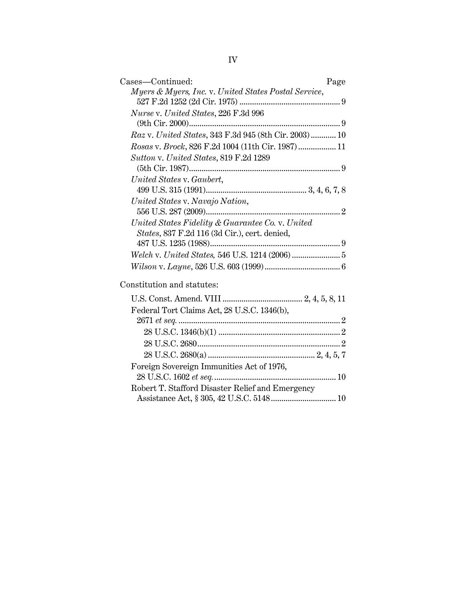| Cases—Continued:<br>Page                                                                          |
|---------------------------------------------------------------------------------------------------|
| Myers & Myers, Inc. v. United States Postal Service,                                              |
| Nurse v. United States, 226 F.3d 996                                                              |
|                                                                                                   |
| Raz v. United States, 343 F.3d 945 (8th Cir. 2003) 10                                             |
| Rosas v. Brock, 826 F.2d 1004 (11th Cir. 1987) 11                                                 |
| Sutton v. United States, 819 F.2d 1289                                                            |
| United States v. Gaubert,                                                                         |
|                                                                                                   |
| United States v. Navajo Nation,                                                                   |
| United States Fidelity & Guarantee Co. v. United<br>States, 837 F.2d 116 (3d Cir.), cert. denied, |
|                                                                                                   |
|                                                                                                   |
| Constitution and statutes:                                                                        |
|                                                                                                   |
| Federal Tort Claims Act, 28 U.S.C. 1346(b),                                                       |
|                                                                                                   |
|                                                                                                   |
|                                                                                                   |
|                                                                                                   |
| Foreign Sovereign Immunities Act of 1976,                                                         |
| Robert T. Stafford Disaster Relief and Emergency                                                  |
|                                                                                                   |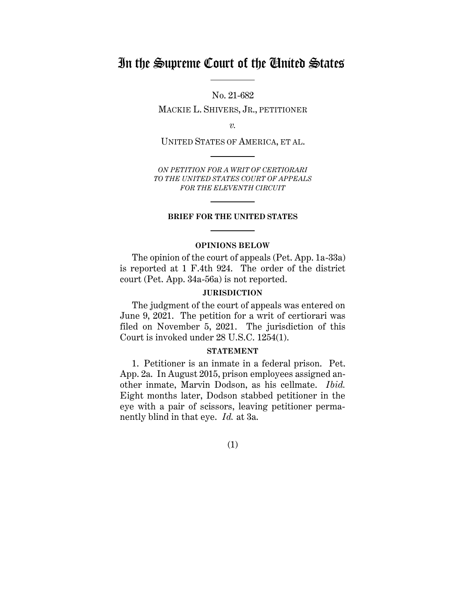# In the Supreme Court of the United States

No. 21-682

MACKIE L. SHIVERS, JR., PETITIONER

*v.*

UNITED STATES OF AMERICA, ET AL.

*ON PETITION FOR A WRIT OF CERTIORARI TO THE UNITED STATES COURT OF APPEALS FOR THE ELEVENTH CIRCUIT*

#### **BRIEF FOR THE UNITED STATES**

#### **OPINIONS BELOW**

<span id="page-4-0"></span>The opinion of the court of appeals (Pet. App. 1a-33a) is reported at 1 F.4th 924. The order of the district court (Pet. App. 34a-56a) is not reported.

#### **JURISDICTION**

<span id="page-4-1"></span>The judgment of the court of appeals was entered on June 9, 2021. The petition for a writ of certiorari was filed on November 5, 2021. The jurisdiction of this Court is invoked under 28 U.S.C. 1254(1).

#### **STATEMENT**

<span id="page-4-2"></span>1. Petitioner is an inmate in a federal prison. Pet. App. 2a. In August 2015, prison employees assigned another inmate, Marvin Dodson, as his cellmate. *Ibid.* Eight months later, Dodson stabbed petitioner in the eye with a pair of scissors, leaving petitioner permanently blind in that eye. *Id.* at 3a.

(1)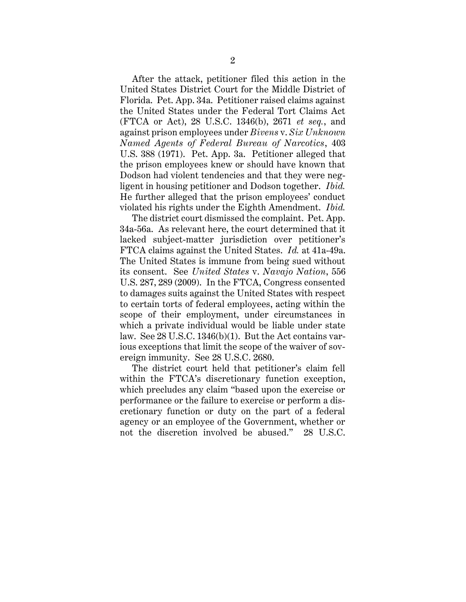After the attack, petitioner filed this action in the United States District Court for the Middle District of Florida. Pet. App. 34a. Petitioner raised claims against the United States under the Federal Tort Claims Act (FTCA or Act), 28 U.S.C. 1346(b), 2671 *et seq.*, and against prison employees under *Bivens* v. *Six Unknown Named Agents of Federal Bureau of Narcotics*, 403 U.S. 388 (1971). Pet. App. 3a. Petitioner alleged that the prison employees knew or should have known that Dodson had violent tendencies and that they were negligent in housing petitioner and Dodson together. *Ibid.* He further alleged that the prison employees' conduct violated his rights under the Eighth Amendment. *Ibid.*

The district court dismissed the complaint. Pet. App. 34a-56a. As relevant here, the court determined that it lacked subject-matter jurisdiction over petitioner's FTCA claims against the United States. *Id.* at 41a-49a. The United States is immune from being sued without its consent. See *United States* v. *Navajo Nation*, 556 U.S. 287, 289 (2009). In the FTCA, Congress consented to damages suits against the United States with respect to certain torts of federal employees, acting within the scope of their employment, under circumstances in which a private individual would be liable under state law. See 28 U.S.C. 1346(b)(1). But the Act contains various exceptions that limit the scope of the waiver of sovereign immunity. See 28 U.S.C. 2680.

The district court held that petitioner's claim fell within the FTCA's discretionary function exception, which precludes any claim "based upon the exercise or performance or the failure to exercise or perform a discretionary function or duty on the part of a federal agency or an employee of the Government, whether or not the discretion involved be abused." 28 U.S.C.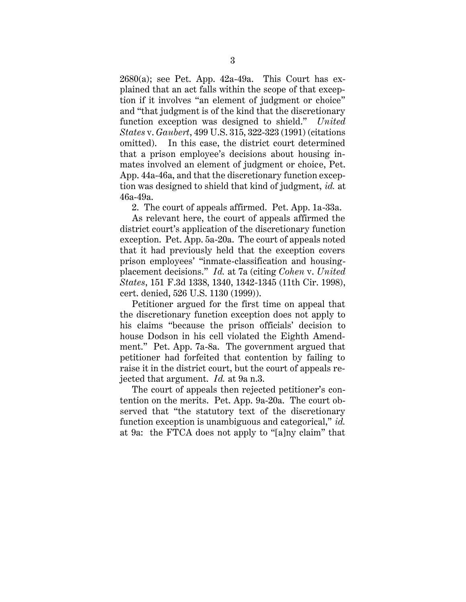$2680(a)$ ; see Pet. App.  $42a-49a$ . This Court has explained that an act falls within the scope of that exception if it involves "an element of judgment or choice" and "that judgment is of the kind that the discretionary function exception was designed to shield." *United States* v. *Gaubert*, 499 U.S. 315, 322-323 (1991) (citations omitted). In this case, the district court determined that a prison employee's decisions about housing inmates involved an element of judgment or choice, Pet. App. 44a-46a, and that the discretionary function exception was designed to shield that kind of judgment, *id.* at 46a-49a.

2. The court of appeals affirmed. Pet. App. 1a-33a.

As relevant here, the court of appeals affirmed the district court's application of the discretionary function exception. Pet. App. 5a-20a. The court of appeals noted that it had previously held that the exception covers prison employees' "inmate-classification and housingplacement decisions." *Id.* at 7a (citing *Cohen* v. *United States*, 151 F.3d 1338, 1340, 1342-1345 (11th Cir. 1998), cert. denied, 526 U.S. 1130 (1999)).

Petitioner argued for the first time on appeal that the discretionary function exception does not apply to his claims "because the prison officials' decision to house Dodson in his cell violated the Eighth Amendment." Pet. App. 7a-8a. The government argued that petitioner had forfeited that contention by failing to raise it in the district court, but the court of appeals rejected that argument. *Id.* at 9a n.3.

The court of appeals then rejected petitioner's contention on the merits. Pet. App. 9a-20a. The court observed that "the statutory text of the discretionary function exception is unambiguous and categorical," *id.* at 9a: the FTCA does not apply to "[a]ny claim" that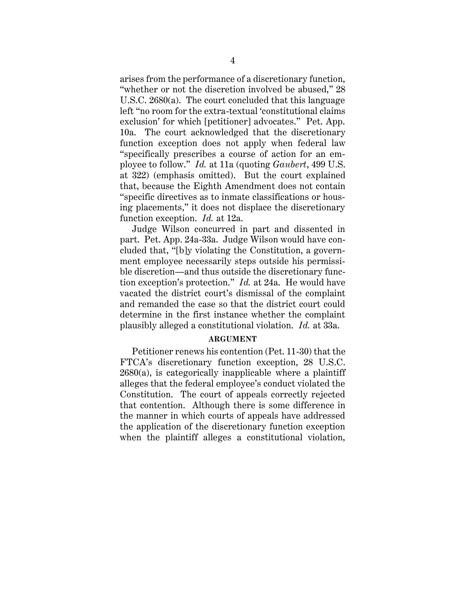arises from the performance of a discretionary function, "whether or not the discretion involved be abused," 28 U.S.C. 2680(a). The court concluded that this language left "no room for the extra-textual 'constitutional claims exclusion' for which [petitioner] advocates." Pet. App. 10a. The court acknowledged that the discretionary function exception does not apply when federal law "specifically prescribes a course of action for an employee to follow." *Id.* at 11a (quoting *Gaubert*, 499 U.S. at 322) (emphasis omitted). But the court explained that, because the Eighth Amendment does not contain "specific directives as to inmate classifications or housing placements," it does not displace the discretionary function exception. *Id.* at 12a.

Judge Wilson concurred in part and dissented in part. Pet. App. 24a-33a. Judge Wilson would have concluded that, "[b]y violating the Constitution, a government employee necessarily steps outside his permissible discretion—and thus outside the discretionary function exception's protection." *Id.* at 24a. He would have vacated the district court's dismissal of the complaint and remanded the case so that the district court could determine in the first instance whether the complaint plausibly alleged a constitutional violation. *Id.* at 33a.

#### **ARGUMENT**

<span id="page-7-0"></span>Petitioner renews his contention (Pet. 11-30) that the FTCA's discretionary function exception, 28 U.S.C.  $2680(a)$ , is categorically inapplicable where a plaintiff alleges that the federal employee's conduct violated the Constitution. The court of appeals correctly rejected that contention. Although there is some difference in the manner in which courts of appeals have addressed the application of the discretionary function exception when the plaintiff alleges a constitutional violation,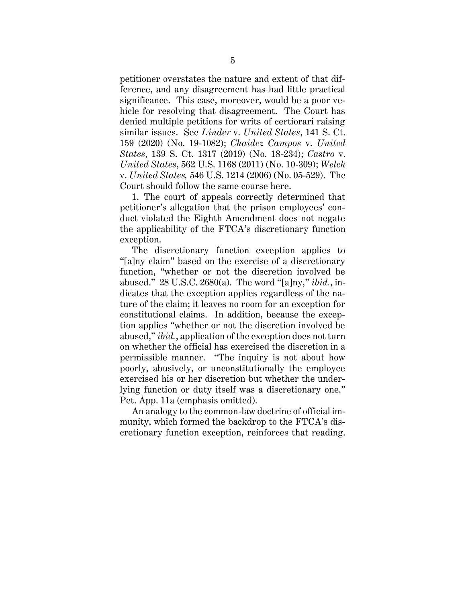petitioner overstates the nature and extent of that difference, and any disagreement has had little practical significance. This case, moreover, would be a poor vehicle for resolving that disagreement. The Court has denied multiple petitions for writs of certiorari raising similar issues. See *Linder* v. *United States*, 141 S. Ct. 159 (2020) (No. 19-1082); *Chaidez Campos* v. *United States*, 139 S. Ct. 1317 (2019) (No. 18-234); *Castro* v. *United States*, 562 U.S. 1168 (2011) (No. 10-309); *Welch*  v. *United States,* 546 U.S. 1214 (2006) (No. 05-529). The Court should follow the same course here.

1. The court of appeals correctly determined that petitioner's allegation that the prison employees' conduct violated the Eighth Amendment does not negate the applicability of the FTCA's discretionary function exception.

The discretionary function exception applies to "[a]ny claim" based on the exercise of a discretionary function, "whether or not the discretion involved be abused." 28 U.S.C. 2680(a). The word "[a]ny," *ibid.*, indicates that the exception applies regardless of the nature of the claim; it leaves no room for an exception for constitutional claims. In addition, because the exception applies "whether or not the discretion involved be abused," *ibid.*, application of the exception does not turn on whether the official has exercised the discretion in a permissible manner. "The inquiry is not about how poorly, abusively, or unconstitutionally the employee exercised his or her discretion but whether the underlying function or duty itself was a discretionary one." Pet. App. 11a (emphasis omitted).

An analogy to the common-law doctrine of official immunity, which formed the backdrop to the FTCA's discretionary function exception, reinforces that reading.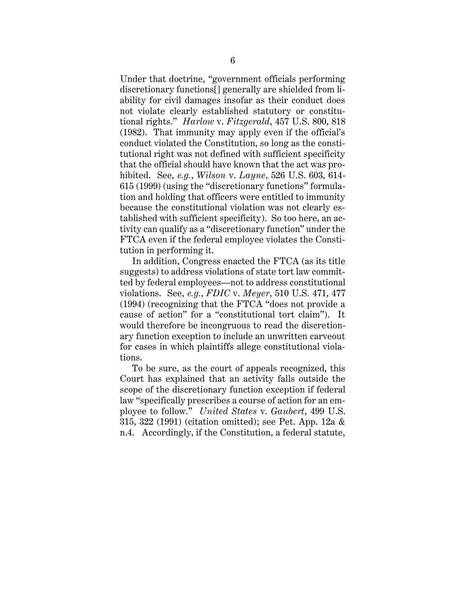Under that doctrine, "government officials performing discretionary functions[] generally are shielded from liability for civil damages insofar as their conduct does not violate clearly established statutory or constitutional rights." *Harlow* v. *Fitzgerald*, 457 U.S. 800, 818 (1982). That immunity may apply even if the official's conduct violated the Constitution, so long as the constitutional right was not defined with sufficient specificity that the official should have known that the act was prohibited. See, *e.g.*, *Wilson* v. *Layne*, 526 U.S. 603, 614- 615 (1999) (using the "discretionary functions" formulation and holding that officers were entitled to immunity because the constitutional violation was not clearly established with sufficient specificity). So too here, an activity can qualify as a "discretionary function" under the FTCA even if the federal employee violates the Constitution in performing it.

In addition, Congress enacted the FTCA (as its title suggests) to address violations of state tort law committed by federal employees—not to address constitutional violations. See, *e.g.*, *FDIC* v. *Meyer*, 510 U.S. 471, 477 (1994) (recognizing that the FTCA "does not provide a cause of action" for a "constitutional tort claim"). It would therefore be incongruous to read the discretionary function exception to include an unwritten carveout for cases in which plaintiffs allege constitutional violations.

To be sure, as the court of appeals recognized, this Court has explained that an activity falls outside the scope of the discretionary function exception if federal law "specifically prescribes a course of action for an employee to follow." *United States* v. *Gaubert*, 499 U.S. 315, 322 (1991) (citation omitted); see Pet. App. 12a & n.4. Accordingly, if the Constitution, a federal statute,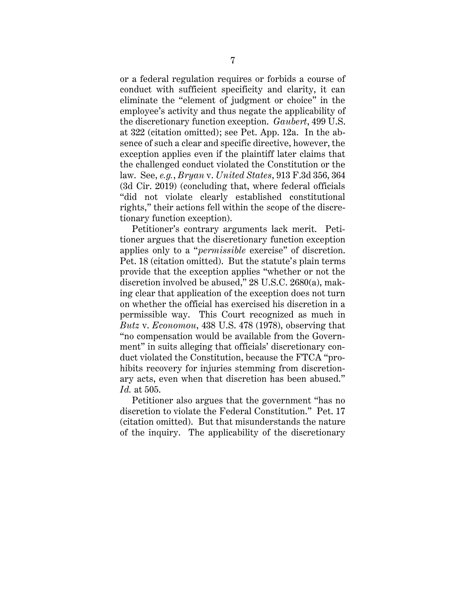or a federal regulation requires or forbids a course of conduct with sufficient specificity and clarity, it can eliminate the "element of judgment or choice" in the employee's activity and thus negate the applicability of the discretionary function exception. *Gaubert*, 499 U.S. at 322 (citation omitted); see Pet. App. 12a. In the absence of such a clear and specific directive, however, the exception applies even if the plaintiff later claims that the challenged conduct violated the Constitution or the law. See, *e.g.*, *Bryan* v. *United States*, 913 F.3d 356, 364 (3d Cir. 2019) (concluding that, where federal officials "did not violate clearly established constitutional rights," their actions fell within the scope of the discretionary function exception).

Petitioner's contrary arguments lack merit. Petitioner argues that the discretionary function exception applies only to a "*permissible* exercise" of discretion. Pet. 18 (citation omitted). But the statute's plain terms provide that the exception applies "whether or not the discretion involved be abused," 28 U.S.C. 2680(a), making clear that application of the exception does not turn on whether the official has exercised his discretion in a permissible way. This Court recognized as much in *Butz* v. *Economou*, 438 U.S. 478 (1978), observing that "no compensation would be available from the Government" in suits alleging that officials' discretionary conduct violated the Constitution, because the FTCA "prohibits recovery for injuries stemming from discretionary acts, even when that discretion has been abused." *Id.* at 505.

Petitioner also argues that the government "has no discretion to violate the Federal Constitution." Pet. 17 (citation omitted). But that misunderstands the nature of the inquiry. The applicability of the discretionary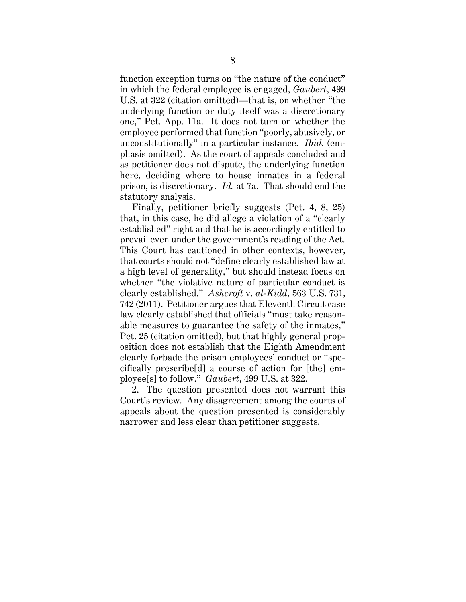function exception turns on "the nature of the conduct" in which the federal employee is engaged, *Gaubert*, 499 U.S. at 322 (citation omitted)—that is, on whether "the underlying function or duty itself was a discretionary one," Pet. App. 11a. It does not turn on whether the employee performed that function "poorly, abusively, or unconstitutionally" in a particular instance. *Ibid.* (emphasis omitted). As the court of appeals concluded and as petitioner does not dispute, the underlying function here, deciding where to house inmates in a federal prison, is discretionary. *Id.* at 7a. That should end the statutory analysis.

Finally, petitioner briefly suggests (Pet. 4, 8, 25) that, in this case, he did allege a violation of a "clearly established" right and that he is accordingly entitled to prevail even under the government's reading of the Act. This Court has cautioned in other contexts, however, that courts should not "define clearly established law at a high level of generality," but should instead focus on whether "the violative nature of particular conduct is clearly established." *Ashcroft* v. *al-Kidd*, 563 U.S. 731, 742 (2011). Petitioner argues that Eleventh Circuit case law clearly established that officials "must take reasonable measures to guarantee the safety of the inmates," Pet. 25 (citation omitted), but that highly general proposition does not establish that the Eighth Amendment clearly forbade the prison employees' conduct or "specifically prescribe[d] a course of action for [the] employee[s] to follow." *Gaubert*, 499 U.S. at 322.

2. The question presented does not warrant this Court's review. Any disagreement among the courts of appeals about the question presented is considerably narrower and less clear than petitioner suggests.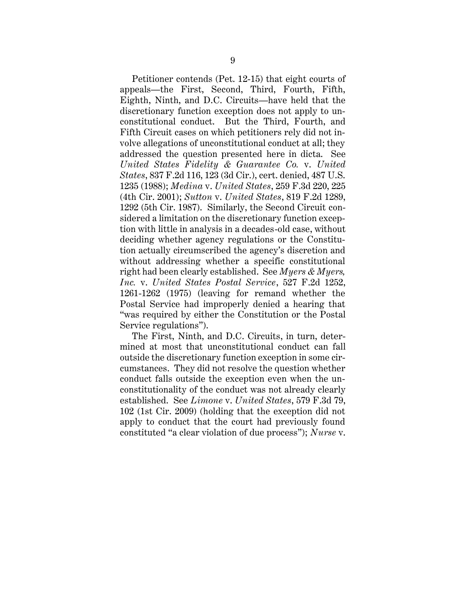Petitioner contends (Pet. 12-15) that eight courts of appeals—the First, Second, Third, Fourth, Fifth, Eighth, Ninth, and D.C. Circuits—have held that the discretionary function exception does not apply to unconstitutional conduct. But the Third, Fourth, and Fifth Circuit cases on which petitioners rely did not involve allegations of unconstitutional conduct at all; they addressed the question presented here in dicta. See *United States Fidelity & Guarantee Co.* v. *United States*, 837 F.2d 116, 123 (3d Cir.), cert. denied, 487 U.S. 1235 (1988); *Medina* v. *United States*, 259 F.3d 220, 225 (4th Cir. 2001); *Sutton* v. *United States*, 819 F.2d 1289, 1292 (5th Cir. 1987). Similarly, the Second Circuit considered a limitation on the discretionary function exception with little in analysis in a decades-old case, without deciding whether agency regulations or the Constitution actually circumscribed the agency's discretion and without addressing whether a specific constitutional right had been clearly established. See *Myers & Myers, Inc.* v. *United States Postal Service*, 527 F.2d 1252, 1261-1262 (1975) (leaving for remand whether the Postal Service had improperly denied a hearing that "was required by either the Constitution or the Postal Service regulations").

The First, Ninth, and D.C. Circuits, in turn, determined at most that unconstitutional conduct can fall outside the discretionary function exception in some circumstances. They did not resolve the question whether conduct falls outside the exception even when the unconstitutionality of the conduct was not already clearly established. See *Limone* v. *United States*, 579 F.3d 79, 102 (1st Cir. 2009) (holding that the exception did not apply to conduct that the court had previously found constituted "a clear violation of due process"); *Nurse* v.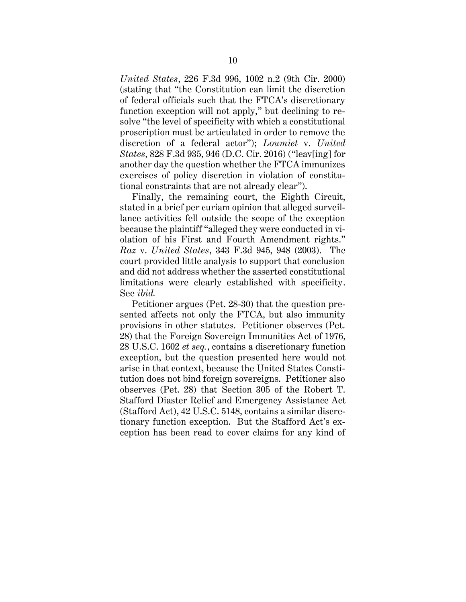*United States*, 226 F.3d 996, 1002 n.2 (9th Cir. 2000) (stating that "the Constitution can limit the discretion of federal officials such that the FTCA's discretionary function exception will not apply," but declining to resolve "the level of specificity with which a constitutional proscription must be articulated in order to remove the discretion of a federal actor"); *Loumiet* v. *United States*, 828 F.3d 935, 946 (D.C. Cir. 2016) ("leav[ing] for another day the question whether the FTCA immunizes exercises of policy discretion in violation of constitutional constraints that are not already clear").

Finally, the remaining court, the Eighth Circuit, stated in a brief per curiam opinion that alleged surveillance activities fell outside the scope of the exception because the plaintiff "alleged they were conducted in violation of his First and Fourth Amendment rights." *Raz* v. *United States*, 343 F.3d 945, 948 (2003). The court provided little analysis to support that conclusion and did not address whether the asserted constitutional limitations were clearly established with specificity. See *ibid.*

Petitioner argues (Pet. 28-30) that the question presented affects not only the FTCA, but also immunity provisions in other statutes. Petitioner observes (Pet. 28) that the Foreign Sovereign Immunities Act of 1976, 28 U.S.C. 1602 *et seq.*, contains a discretionary function exception, but the question presented here would not arise in that context, because the United States Constitution does not bind foreign sovereigns. Petitioner also observes (Pet. 28) that Section 305 of the Robert T. Stafford Diaster Relief and Emergency Assistance Act (Stafford Act), 42 U.S.C. 5148, contains a similar discretionary function exception. But the Stafford Act's exception has been read to cover claims for any kind of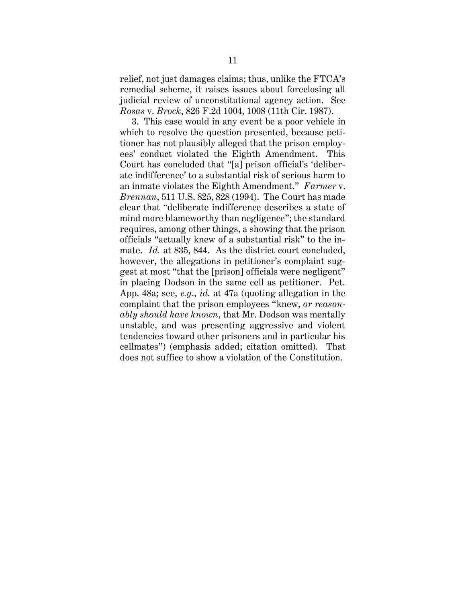relief, not just damages claims; thus, unlike the FTCA's remedial scheme, it raises issues about foreclosing all judicial review of unconstitutional agency action. See *Rosas* v. *Brock*, 826 F.2d 1004, 1008 (11th Cir. 1987).

3. This case would in any event be a poor vehicle in which to resolve the question presented, because petitioner has not plausibly alleged that the prison employees' conduct violated the Eighth Amendment. This Court has concluded that "[a] prison official's 'deliberate indifference' to a substantial risk of serious harm to an inmate violates the Eighth Amendment." *Farmer* v. *Brennan*, 511 U.S. 825, 828 (1994). The Court has made clear that "deliberate indifference describes a state of mind more blameworthy than negligence"; the standard requires, among other things, a showing that the prison officials "actually knew of a substantial risk" to the inmate. *Id.* at 835, 844. As the district court concluded, however, the allegations in petitioner's complaint suggest at most "that the [prison] officials were negligent" in placing Dodson in the same cell as petitioner. Pet. App. 48a; see, *e.g.*, *id.* at 47a (quoting allegation in the complaint that the prison employees "knew, *or reasonably should have known*, that Mr. Dodson was mentally unstable, and was presenting aggressive and violent tendencies toward other prisoners and in particular his cellmates") (emphasis added; citation omitted). That does not suffice to show a violation of the Constitution.